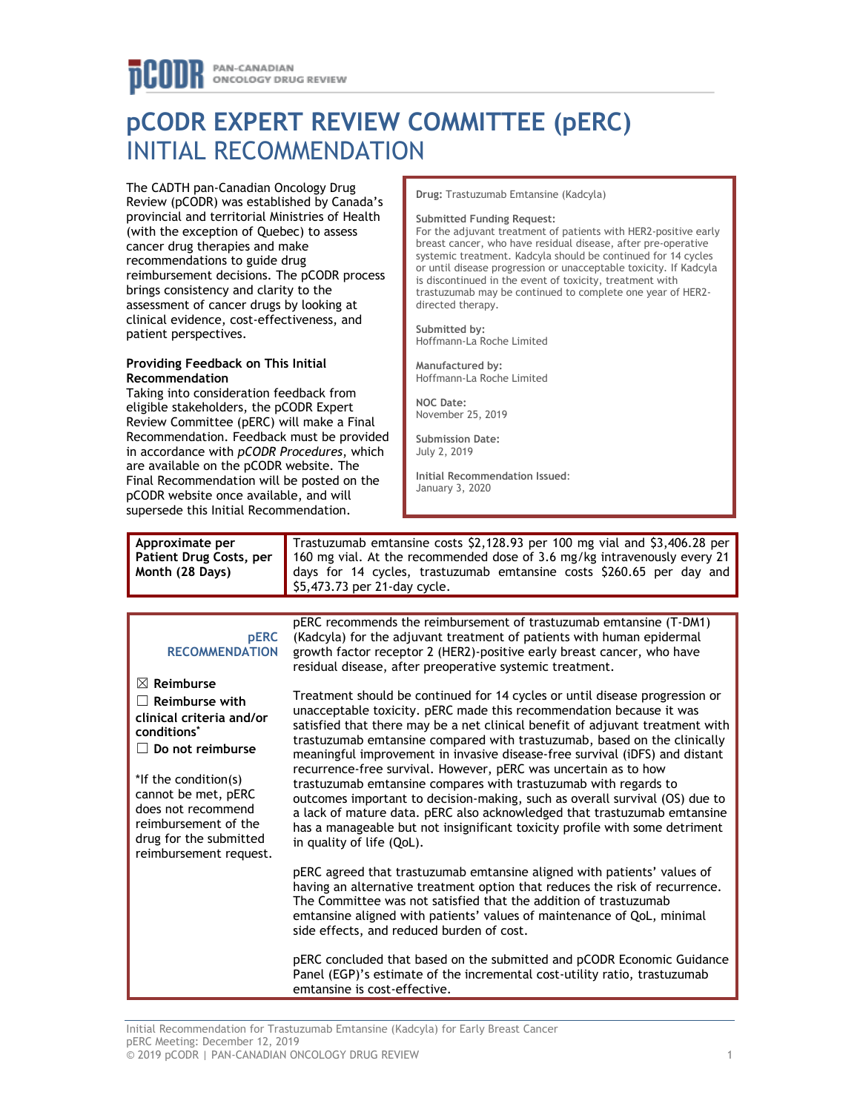# **pCODR EXPERT REVIEW COMMITTEE (pERC)** INITIAL RECOMMENDATION

The CADTH pan-Canadian Oncology Drug Review (pCODR) was established by Canada's provincial and territorial Ministries of Health (with the exception of Quebec) to assess cancer drug therapies and make recommendations to guide drug reimbursement decisions. The pCODR process brings consistency and clarity to the assessment of cancer drugs by looking at clinical evidence, cost-effectiveness, and patient perspectives.

### **Providing Feedback on This Initial Recommendation**

Taking into consideration feedback from eligible stakeholders, the pCODR Expert Review Committee (pERC) will make a Final Recommendation. Feedback must be provided in accordance with *pCODR Procedures*, which are available on the pCODR website. The Final Recommendation will be posted on the pCODR website once available, and will supersede this Initial Recommendation.

**Drug:** Trastuzumab Emtansine (Kadcyla)

#### **Submitted Funding Request:**

For the adjuvant treatment of patients with HER2-positive early breast cancer, who have residual disease, after pre-operative systemic treatment. Kadcyla should be continued for 14 cycles or until disease progression or unacceptable toxicity. If Kadcyla is discontinued in the event of toxicity, treatment with trastuzumab may be continued to complete one year of HER2 directed therapy.

**Submitted by:**  Hoffmann-La Roche Limited

**Manufactured by:**  Hoffmann-La Roche Limited

**NOC Date:**  November 25, 2019

**Submission Date:**  July 2, 2019

**Initial Recommendation Issued**: January 3, 2020

| Approximate per<br>Patient Drug Costs, per<br>Month (28 Days)                                                                                                                                                                                                                     | Trastuzumab emtansine costs \$2,128.93 per 100 mg vial and \$3,406.28 per<br>160 mg vial. At the recommended dose of 3.6 mg/kg intravenously every 21<br>days for 14 cycles, trastuzumab emtansine costs \$260.65 per day and<br>\$5,473.73 per 21-day cycle.                                                                                                                                                                                                                                                                                                                                                                                                                                                                                                                                               |  |  |
|-----------------------------------------------------------------------------------------------------------------------------------------------------------------------------------------------------------------------------------------------------------------------------------|-------------------------------------------------------------------------------------------------------------------------------------------------------------------------------------------------------------------------------------------------------------------------------------------------------------------------------------------------------------------------------------------------------------------------------------------------------------------------------------------------------------------------------------------------------------------------------------------------------------------------------------------------------------------------------------------------------------------------------------------------------------------------------------------------------------|--|--|
|                                                                                                                                                                                                                                                                                   |                                                                                                                                                                                                                                                                                                                                                                                                                                                                                                                                                                                                                                                                                                                                                                                                             |  |  |
| <b>pERC</b><br><b>RECOMMENDATION</b>                                                                                                                                                                                                                                              | pERC recommends the reimbursement of trastuzumab emtansine (T-DM1)<br>(Kadcyla) for the adjuvant treatment of patients with human epidermal<br>growth factor receptor 2 (HER2)-positive early breast cancer, who have<br>residual disease, after preoperative systemic treatment.                                                                                                                                                                                                                                                                                                                                                                                                                                                                                                                           |  |  |
| $\boxtimes$ Reimburse<br>$\Box$ Reimburse with<br>clinical criteria and/or<br>conditions <sup>*</sup><br>$\Box$ Do not reimburse<br>*If the condition(s)<br>cannot be met, pERC<br>does not recommend<br>reimbursement of the<br>drug for the submitted<br>reimbursement request. | Treatment should be continued for 14 cycles or until disease progression or<br>unacceptable toxicity. pERC made this recommendation because it was<br>satisfied that there may be a net clinical benefit of adjuvant treatment with<br>trastuzumab emtansine compared with trastuzumab, based on the clinically<br>meaningful improvement in invasive disease-free survival (iDFS) and distant<br>recurrence-free survival. However, pERC was uncertain as to how<br>trastuzumab emtansine compares with trastuzumab with regards to<br>outcomes important to decision-making, such as overall survival (OS) due to<br>a lack of mature data. pERC also acknowledged that trastuzumab emtansine<br>has a manageable but not insignificant toxicity profile with some detriment<br>in quality of life (QoL). |  |  |
|                                                                                                                                                                                                                                                                                   | pERC agreed that trastuzumab emtansine aligned with patients' values of<br>having an alternative treatment option that reduces the risk of recurrence.<br>The Committee was not satisfied that the addition of trastuzumab<br>emtansine aligned with patients' values of maintenance of QoL, minimal<br>side effects, and reduced burden of cost.                                                                                                                                                                                                                                                                                                                                                                                                                                                           |  |  |
|                                                                                                                                                                                                                                                                                   | pERC concluded that based on the submitted and pCODR Economic Guidance<br>Panel (EGP)'s estimate of the incremental cost-utility ratio, trastuzumab<br>emtansine is cost-effective.                                                                                                                                                                                                                                                                                                                                                                                                                                                                                                                                                                                                                         |  |  |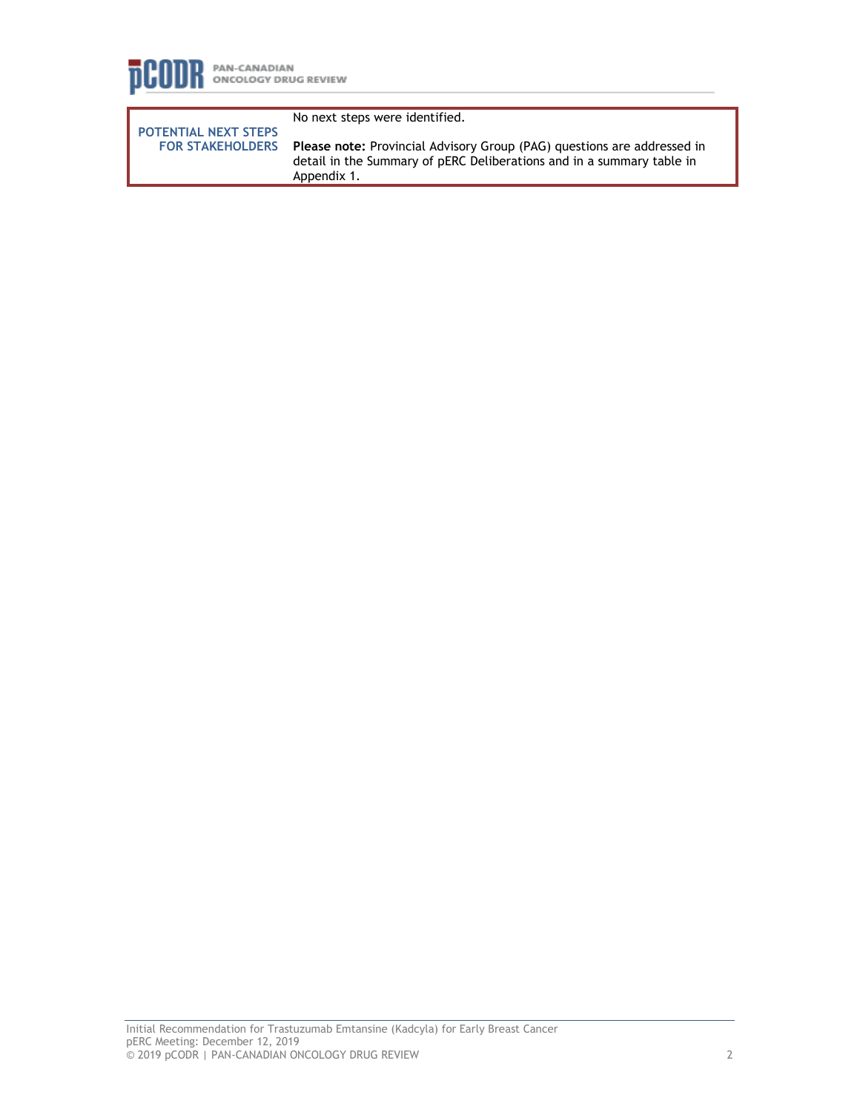

**POTENTIAL NEXT STEPS FOR STAKEHOLDERS** No next steps were identified.

**Please note:** Provincial Advisory Group (PAG) questions are addressed in detail in the Summary of pERC Deliberations and in a summary table in Appendix 1.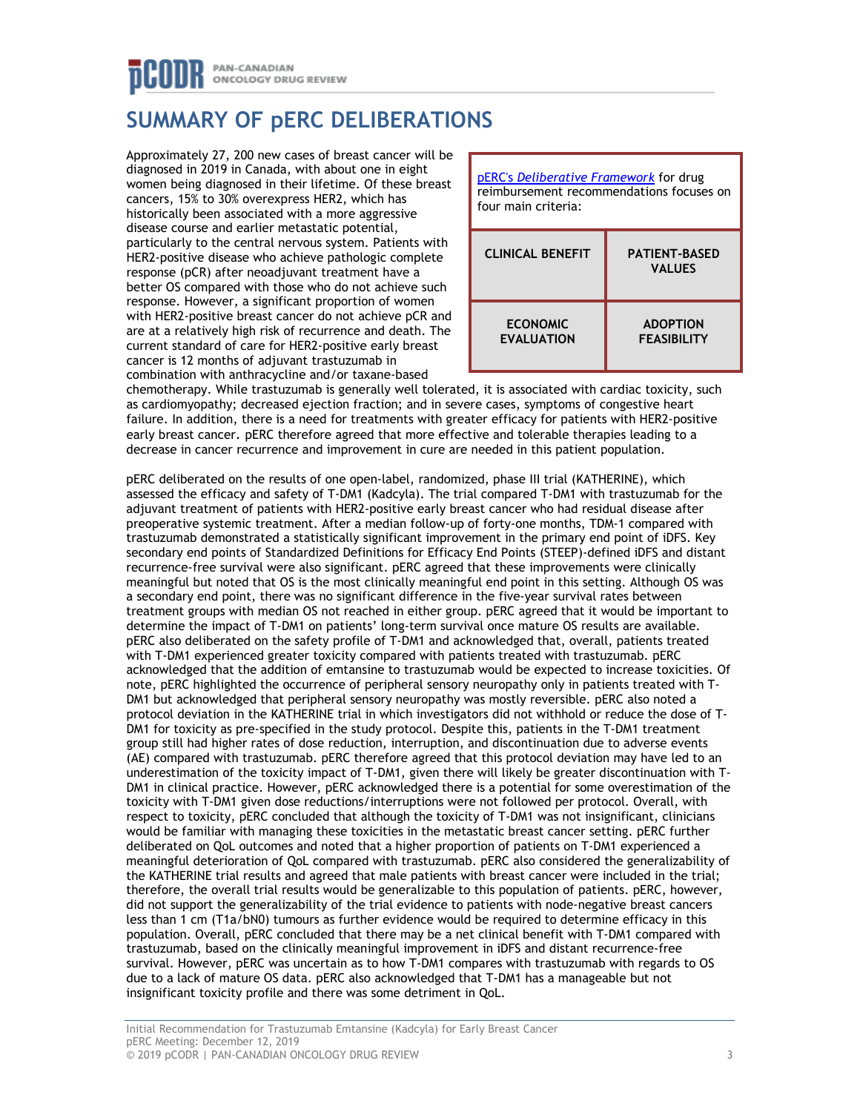# **SUMMARY OF pERC DELIBERATIONS**

Approximately 27, 200 new cases of breast cancer will be diagnosed in 2019 in Canada, with about one in eight women being diagnosed in their lifetime. Of these breast cancers, 15% to 30% overexpress HER2, which has historically been associated with a more aggressive disease course and earlier metastatic potential, particularly to the central nervous system. Patients with HER2-positive disease who achieve pathologic complete response (pCR) after neoadjuvant treatment have a better OS compared with those who do not achieve such response. However, a significant proportion of women with HER2-positive breast cancer do not achieve pCR and are at a relatively high risk of recurrence and death. The current standard of care for HER2-positive early breast cancer is 12 months of adjuvant trastuzumab in combination with anthracycline and/or taxane-based



chemotherapy. While trastuzumab is generally well tolerated, it is associated with cardiac toxicity, such as cardiomyopathy; decreased ejection fraction; and in severe cases, symptoms of congestive heart failure. In addition, there is a need for treatments with greater efficacy for patients with HER2-positive early breast cancer. pERC therefore agreed that more effective and tolerable therapies leading to a decrease in cancer recurrence and improvement in cure are needed in this patient population.

pERC deliberated on the results of one open-label, randomized, phase III trial (KATHERINE), which assessed the efficacy and safety of T-DM1 (Kadcyla). The trial compared T-DM1 with trastuzumab for the adjuvant treatment of patients with HER2-positive early breast cancer who had residual disease after preoperative systemic treatment. After a median follow-up of forty-one months, TDM-1 compared with trastuzumab demonstrated a statistically significant improvement in the primary end point of iDFS. Key secondary end points of Standardized Definitions for Efficacy End Points (STEEP)-defined iDFS and distant recurrence-free survival were also significant. pERC agreed that these improvements were clinically meaningful but noted that OS is the most clinically meaningful end point in this setting. Although OS was a secondary end point, there was no significant difference in the five-year survival rates between treatment groups with median OS not reached in either group. pERC agreed that it would be important to determine the impact of T-DM1 on patients' long-term survival once mature OS results are available. pERC also deliberated on the safety profile of T-DM1 and acknowledged that, overall, patients treated with T-DM1 experienced greater toxicity compared with patients treated with trastuzumab. pERC acknowledged that the addition of emtansine to trastuzumab would be expected to increase toxicities. Of note, pERC highlighted the occurrence of peripheral sensory neuropathy only in patients treated with T-DM1 but acknowledged that peripheral sensory neuropathy was mostly reversible. pERC also noted a protocol deviation in the KATHERINE trial in which investigators did not withhold or reduce the dose of T-DM1 for toxicity as pre-specified in the study protocol. Despite this, patients in the T-DM1 treatment group still had higher rates of dose reduction, interruption, and discontinuation due to adverse events (AE) compared with trastuzumab. pERC therefore agreed that this protocol deviation may have led to an underestimation of the toxicity impact of T-DM1, given there will likely be greater discontinuation with T-DM1 in clinical practice. However, pERC acknowledged there is a potential for some overestimation of the toxicity with T-DM1 given dose reductions/interruptions were not followed per protocol. Overall, with respect to toxicity, pERC concluded that although the toxicity of T-DM1 was not insignificant, clinicians would be familiar with managing these toxicities in the metastatic breast cancer setting. pERC further deliberated on QoL outcomes and noted that a higher proportion of patients on T-DM1 experienced a meaningful deterioration of QoL compared with trastuzumab. pERC also considered the generalizability of the KATHERINE trial results and agreed that male patients with breast cancer were included in the trial; therefore, the overall trial results would be generalizable to this population of patients. pERC, however, did not support the generalizability of the trial evidence to patients with node-negative breast cancers less than 1 cm (T1a/bN0) tumours as further evidence would be required to determine efficacy in this population. Overall, pERC concluded that there may be a net clinical benefit with T-DM1 compared with trastuzumab, based on the clinically meaningful improvement in iDFS and distant recurrence-free survival. However, pERC was uncertain as to how T-DM1 compares with trastuzumab with regards to OS due to a lack of mature OS data. pERC also acknowledged that T-DM1 has a manageable but not insignificant toxicity profile and there was some detriment in QoL.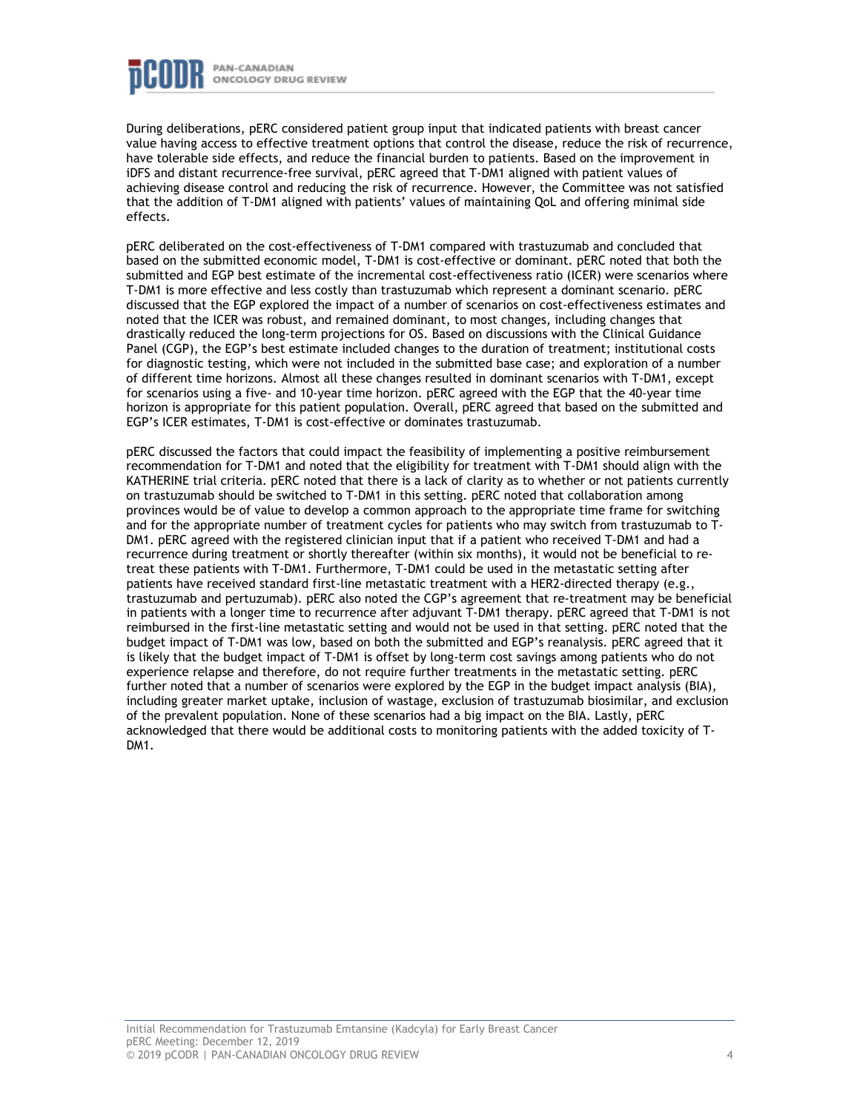

During deliberations, pERC considered patient group input that indicated patients with breast cancer value having access to effective treatment options that control the disease, reduce the risk of recurrence, have tolerable side effects, and reduce the financial burden to patients. Based on the improvement in iDFS and distant recurrence-free survival, pERC agreed that T-DM1 aligned with patient values of achieving disease control and reducing the risk of recurrence. However, the Committee was not satisfied that the addition of T-DM1 aligned with patients' values of maintaining QoL and offering minimal side effects.

pERC deliberated on the cost-effectiveness of T-DM1 compared with trastuzumab and concluded that based on the submitted economic model, T-DM1 is cost-effective or dominant. pERC noted that both the submitted and EGP best estimate of the incremental cost-effectiveness ratio (ICER) were scenarios where T-DM1 is more effective and less costly than trastuzumab which represent a dominant scenario. pERC discussed that the EGP explored the impact of a number of scenarios on cost-effectiveness estimates and noted that the ICER was robust, and remained dominant, to most changes, including changes that drastically reduced the long-term projections for OS. Based on discussions with the Clinical Guidance Panel (CGP), the EGP's best estimate included changes to the duration of treatment; institutional costs for diagnostic testing, which were not included in the submitted base case; and exploration of a number of different time horizons. Almost all these changes resulted in dominant scenarios with T-DM1, except for scenarios using a five- and 10-year time horizon. pERC agreed with the EGP that the 40-year time horizon is appropriate for this patient population. Overall, pERC agreed that based on the submitted and EGP's ICER estimates, T-DM1 is cost-effective or dominates trastuzumab.

pERC discussed the factors that could impact the feasibility of implementing a positive reimbursement recommendation for T-DM1 and noted that the eligibility for treatment with T-DM1 should align with the KATHERINE trial criteria. pERC noted that there is a lack of clarity as to whether or not patients currently on trastuzumab should be switched to T-DM1 in this setting. pERC noted that collaboration among provinces would be of value to develop a common approach to the appropriate time frame for switching and for the appropriate number of treatment cycles for patients who may switch from trastuzumab to T-DM1. pERC agreed with the registered clinician input that if a patient who received T-DM1 and had a recurrence during treatment or shortly thereafter (within six months), it would not be beneficial to retreat these patients with T-DM1. Furthermore, T-DM1 could be used in the metastatic setting after patients have received standard first-line metastatic treatment with a HER2-directed therapy (e.g., trastuzumab and pertuzumab). pERC also noted the CGP's agreement that re-treatment may be beneficial in patients with a longer time to recurrence after adjuvant T-DM1 therapy. pERC agreed that T-DM1 is not reimbursed in the first-line metastatic setting and would not be used in that setting. pERC noted that the budget impact of T-DM1 was low, based on both the submitted and EGP's reanalysis. pERC agreed that it is likely that the budget impact of T-DM1 is offset by long-term cost savings among patients who do not experience relapse and therefore, do not require further treatments in the metastatic setting. pERC further noted that a number of scenarios were explored by the EGP in the budget impact analysis (BIA), including greater market uptake, inclusion of wastage, exclusion of trastuzumab biosimilar, and exclusion of the prevalent population. None of these scenarios had a big impact on the BIA. Lastly, pERC acknowledged that there would be additional costs to monitoring patients with the added toxicity of T-DM<sub>1</sub>.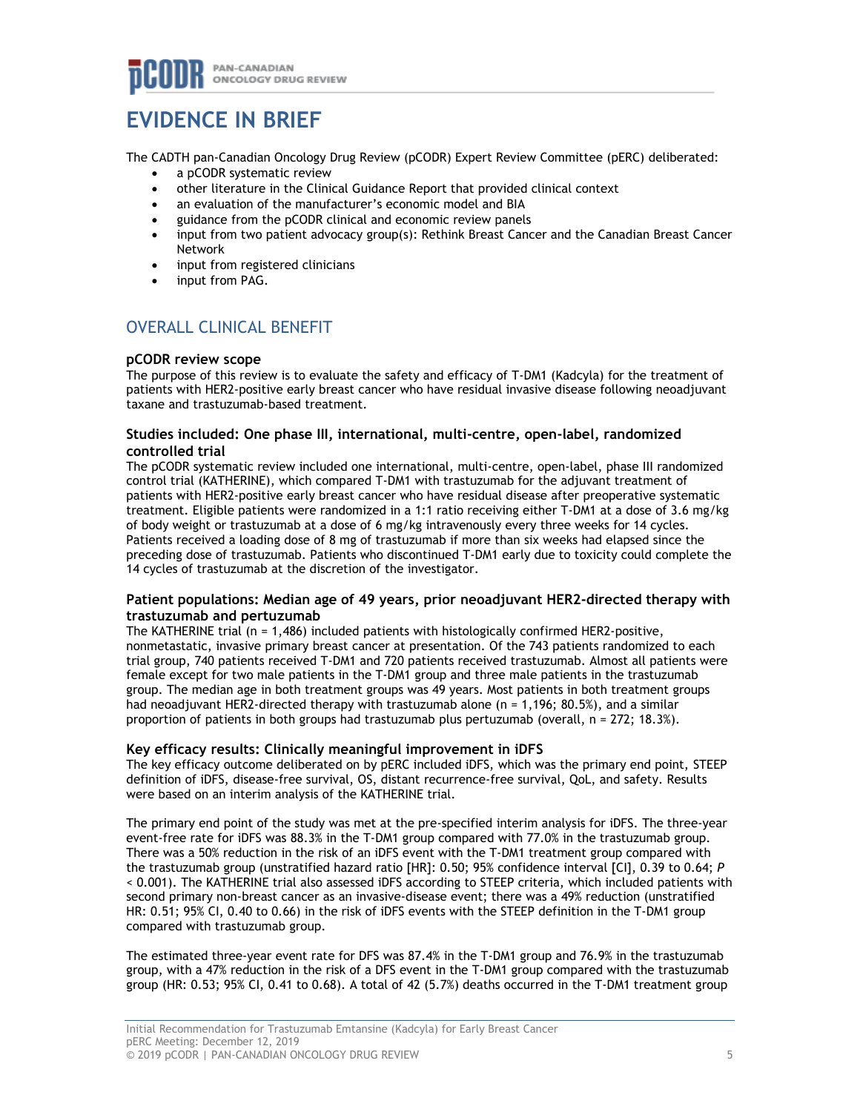# **EVIDENCE IN BRIEF**

The CADTH pan-Canadian Oncology Drug Review (pCODR) Expert Review Committee (pERC) deliberated:

- a pCODR systematic review
- other literature in the Clinical Guidance Report that provided clinical context
- an evaluation of the manufacturer's economic model and BIA
- guidance from the pCODR clinical and economic review panels
- input from two patient advocacy group(s): Rethink Breast Cancer and the Canadian Breast Cancer Network
- input from registered clinicians
- input from PAG.

# OVERALL CLINICAL BENEFIT

## **pCODR review scope**

The purpose of this review is to evaluate the safety and efficacy of T-DM1 (Kadcyla) for the treatment of patients with HER2-positive early breast cancer who have residual invasive disease following neoadjuvant taxane and trastuzumab-based treatment.

### **Studies included: One phase III, international, multi-centre, open-label, randomized controlled trial**

The pCODR systematic review included one international, multi-centre, open-label, phase III randomized control trial (KATHERINE), which compared T-DM1 with trastuzumab for the adjuvant treatment of patients with HER2-positive early breast cancer who have residual disease after preoperative systematic treatment. Eligible patients were randomized in a 1:1 ratio receiving either T-DM1 at a dose of 3.6 mg/kg of body weight or trastuzumab at a dose of 6 mg/kg intravenously every three weeks for 14 cycles. Patients received a loading dose of 8 mg of trastuzumab if more than six weeks had elapsed since the preceding dose of trastuzumab. Patients who discontinued T-DM1 early due to toxicity could complete the 14 cycles of trastuzumab at the discretion of the investigator.

### **Patient populations: Median age of 49 years, prior neoadjuvant HER2-directed therapy with trastuzumab and pertuzumab**

The KATHERINE trial (n = 1,486) included patients with histologically confirmed HER2-positive, nonmetastatic, invasive primary breast cancer at presentation. Of the 743 patients randomized to each trial group, 740 patients received T-DM1 and 720 patients received trastuzumab. Almost all patients were female except for two male patients in the T-DM1 group and three male patients in the trastuzumab group. The median age in both treatment groups was 49 years. Most patients in both treatment groups had neoadjuvant HER2-directed therapy with trastuzumab alone (n = 1,196; 80.5%), and a similar proportion of patients in both groups had trastuzumab plus pertuzumab (overall,  $n = 272$ ; 18.3%).

## **Key efficacy results: Clinically meaningful improvement in iDFS**

The key efficacy outcome deliberated on by pERC included iDFS, which was the primary end point, STEEP definition of iDFS, disease-free survival, OS, distant recurrence-free survival, QoL, and safety. Results were based on an interim analysis of the KATHERINE trial.

The primary end point of the study was met at the pre-specified interim analysis for iDFS. The three-year event-free rate for iDFS was 88.3% in the T-DM1 group compared with 77.0% in the trastuzumab group. There was a 50% reduction in the risk of an iDFS event with the T-DM1 treatment group compared with the trastuzumab group (unstratified hazard ratio [HR]: 0.50; 95% confidence interval [CI], 0.39 to 0.64; *P* < 0.001). The KATHERINE trial also assessed iDFS according to STEEP criteria, which included patients with second primary non-breast cancer as an invasive-disease event; there was a 49% reduction (unstratified HR: 0.51; 95% CI, 0.40 to 0.66) in the risk of iDFS events with the STEEP definition in the T-DM1 group compared with trastuzumab group.

The estimated three-year event rate for DFS was 87.4% in the T-DM1 group and 76.9% in the trastuzumab group, with a 47% reduction in the risk of a DFS event in the T-DM1 group compared with the trastuzumab group (HR: 0.53; 95% CI, 0.41 to 0.68). A total of 42 (5.7%) deaths occurred in the T-DM1 treatment group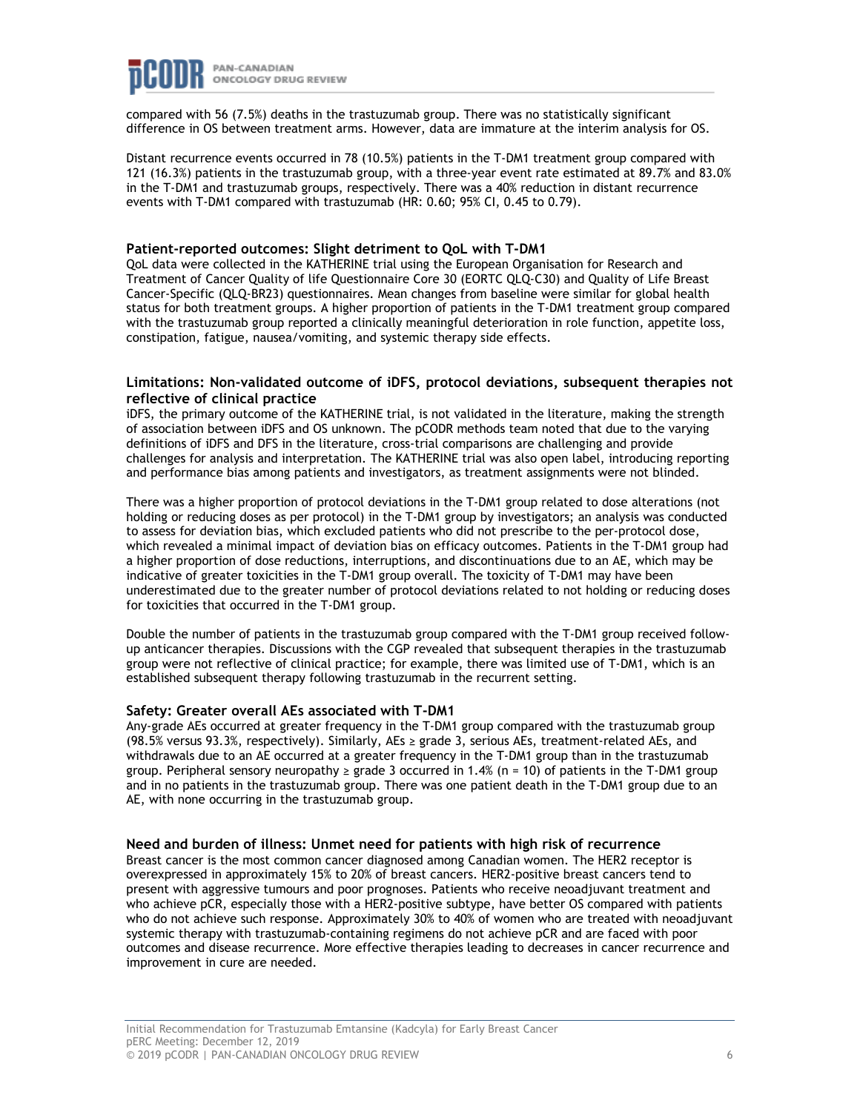

compared with 56 (7.5%) deaths in the trastuzumab group. There was no statistically significant difference in OS between treatment arms. However, data are immature at the interim analysis for OS.

Distant recurrence events occurred in 78 (10.5%) patients in the T-DM1 treatment group compared with 121 (16.3%) patients in the trastuzumab group, with a three-year event rate estimated at 89.7% and 83.0% in the T-DM1 and trastuzumab groups, respectively. There was a 40% reduction in distant recurrence events with T-DM1 compared with trastuzumab (HR: 0.60; 95% CI, 0.45 to 0.79).

#### **Patient-reported outcomes: Slight detriment to QoL with T-DM1**

QoL data were collected in the KATHERINE trial using the European Organisation for Research and Treatment of Cancer Quality of life Questionnaire Core 30 (EORTC QLQ-C30) and Quality of Life Breast Cancer-Specific (QLQ-BR23) questionnaires. Mean changes from baseline were similar for global health status for both treatment groups. A higher proportion of patients in the T-DM1 treatment group compared with the trastuzumab group reported a clinically meaningful deterioration in role function, appetite loss, constipation, fatigue, nausea/vomiting, and systemic therapy side effects.

### **Limitations: Non-validated outcome of iDFS, protocol deviations, subsequent therapies not reflective of clinical practice**

iDFS, the primary outcome of the KATHERINE trial, is not validated in the literature, making the strength of association between iDFS and OS unknown. The pCODR methods team noted that due to the varying definitions of iDFS and DFS in the literature, cross-trial comparisons are challenging and provide challenges for analysis and interpretation. The KATHERINE trial was also open label, introducing reporting and performance bias among patients and investigators, as treatment assignments were not blinded.

There was a higher proportion of protocol deviations in the T-DM1 group related to dose alterations (not holding or reducing doses as per protocol) in the T-DM1 group by investigators; an analysis was conducted to assess for deviation bias, which excluded patients who did not prescribe to the per-protocol dose, which revealed a minimal impact of deviation bias on efficacy outcomes. Patients in the T-DM1 group had a higher proportion of dose reductions, interruptions, and discontinuations due to an AE, which may be indicative of greater toxicities in the T-DM1 group overall. The toxicity of T-DM1 may have been underestimated due to the greater number of protocol deviations related to not holding or reducing doses for toxicities that occurred in the T-DM1 group.

Double the number of patients in the trastuzumab group compared with the T-DM1 group received followup anticancer therapies. Discussions with the CGP revealed that subsequent therapies in the trastuzumab group were not reflective of clinical practice; for example, there was limited use of T-DM1, which is an established subsequent therapy following trastuzumab in the recurrent setting.

### **Safety: Greater overall AEs associated with T-DM1**

Any-grade AEs occurred at greater frequency in the T-DM1 group compared with the trastuzumab group (98.5% versus 93.3%, respectively). Similarly, AEs ≥ grade 3, serious AEs, treatment-related AEs, and withdrawals due to an AE occurred at a greater frequency in the T-DM1 group than in the trastuzumab group. Peripheral sensory neuropathy  $\geq$  grade 3 occurred in 1.4% (n = 10) of patients in the T-DM1 group and in no patients in the trastuzumab group. There was one patient death in the T-DM1 group due to an AE, with none occurring in the trastuzumab group.

#### **Need and burden of illness: Unmet need for patients with high risk of recurrence**

Breast cancer is the most common cancer diagnosed among Canadian women. The HER2 receptor is overexpressed in approximately 15% to 20% of breast cancers. HER2-positive breast cancers tend to present with aggressive tumours and poor prognoses. Patients who receive neoadjuvant treatment and who achieve pCR, especially those with a HER2-positive subtype, have better OS compared with patients who do not achieve such response. Approximately 30% to 40% of women who are treated with neoadjuvant systemic therapy with trastuzumab-containing regimens do not achieve pCR and are faced with poor outcomes and disease recurrence. More effective therapies leading to decreases in cancer recurrence and improvement in cure are needed.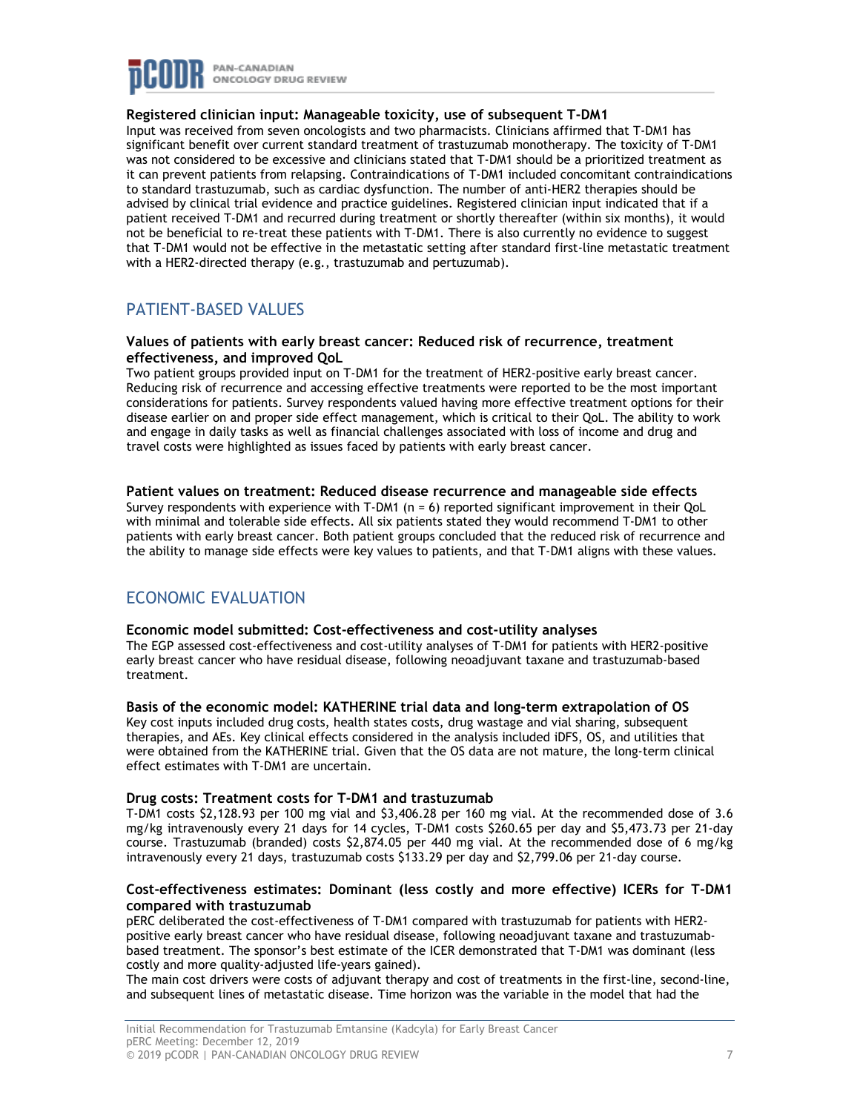

### **Registered clinician input: Manageable toxicity, use of subsequent T-DM1**

Input was received from seven oncologists and two pharmacists. Clinicians affirmed that T-DM1 has significant benefit over current standard treatment of trastuzumab monotherapy. The toxicity of T-DM1 was not considered to be excessive and clinicians stated that T-DM1 should be a prioritized treatment as it can prevent patients from relapsing. Contraindications of T-DM1 included concomitant contraindications to standard trastuzumab, such as cardiac dysfunction. The number of anti-HER2 therapies should be advised by clinical trial evidence and practice guidelines. Registered clinician input indicated that if a patient received T-DM1 and recurred during treatment or shortly thereafter (within six months), it would not be beneficial to re-treat these patients with T-DM1. There is also currently no evidence to suggest that T-DM1 would not be effective in the metastatic setting after standard first-line metastatic treatment with a HER2-directed therapy (e.g., trastuzumab and pertuzumab).

# PATIENT-BASED VALUES

### **Values of patients with early breast cancer: Reduced risk of recurrence, treatment effectiveness, and improved QoL**

Two patient groups provided input on T-DM1 for the treatment of HER2-positive early breast cancer. Reducing risk of recurrence and accessing effective treatments were reported to be the most important considerations for patients. Survey respondents valued having more effective treatment options for their disease earlier on and proper side effect management, which is critical to their QoL. The ability to work and engage in daily tasks as well as financial challenges associated with loss of income and drug and travel costs were highlighted as issues faced by patients with early breast cancer.

### **Patient values on treatment: Reduced disease recurrence and manageable side effects**

Survey respondents with experience with T-DM1 (n = 6) reported significant improvement in their QoL with minimal and tolerable side effects. All six patients stated they would recommend T-DM1 to other patients with early breast cancer. Both patient groups concluded that the reduced risk of recurrence and the ability to manage side effects were key values to patients, and that T-DM1 aligns with these values.

# ECONOMIC EVALUATION

### **Economic model submitted: Cost-effectiveness and cost-utility analyses**

The EGP assessed cost-effectiveness and cost-utility analyses of T-DM1 for patients with HER2-positive early breast cancer who have residual disease, following neoadjuvant taxane and trastuzumab-based treatment.

## **Basis of the economic model: KATHERINE trial data and long-term extrapolation of OS**

Key cost inputs included drug costs, health states costs, drug wastage and vial sharing, subsequent therapies, and AEs. Key clinical effects considered in the analysis included iDFS, OS, and utilities that were obtained from the KATHERINE trial. Given that the OS data are not mature, the long-term clinical effect estimates with T-DM1 are uncertain.

### **Drug costs: Treatment costs for T-DM1 and trastuzumab**

T-DM1 costs \$2,128.93 per 100 mg vial and \$3,406.28 per 160 mg vial. At the recommended dose of 3.6 mg/kg intravenously every 21 days for 14 cycles, T-DM1 costs \$260.65 per day and \$5,473.73 per 21-day course. Trastuzumab (branded) costs \$2,874.05 per 440 mg vial. At the recommended dose of 6 mg/kg intravenously every 21 days, trastuzumab costs \$133.29 per day and \$2,799.06 per 21-day course.

### **Cost-effectiveness estimates: Dominant (less costly and more effective) ICERs for T-DM1 compared with trastuzumab**

pERC deliberated the cost-effectiveness of T-DM1 compared with trastuzumab for patients with HER2 positive early breast cancer who have residual disease, following neoadjuvant taxane and trastuzumabbased treatment. The sponsor's best estimate of the ICER demonstrated that T-DM1 was dominant (less costly and more quality-adjusted life-years gained).

The main cost drivers were costs of adjuvant therapy and cost of treatments in the first-line, second-line, and subsequent lines of metastatic disease. Time horizon was the variable in the model that had the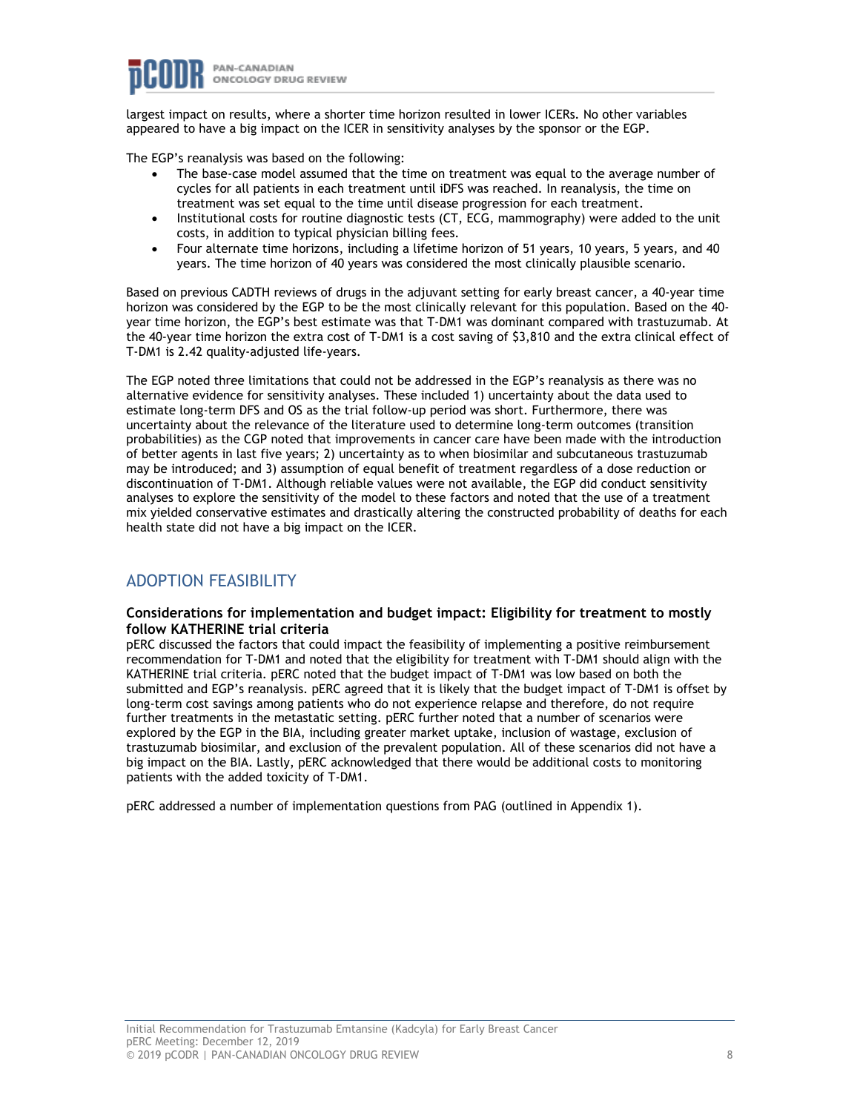largest impact on results, where a shorter time horizon resulted in lower ICERs. No other variables appeared to have a big impact on the ICER in sensitivity analyses by the sponsor or the EGP.

The EGP's reanalysis was based on the following:

- The base-case model assumed that the time on treatment was equal to the average number of cycles for all patients in each treatment until iDFS was reached. In reanalysis, the time on treatment was set equal to the time until disease progression for each treatment.
- Institutional costs for routine diagnostic tests (CT, ECG, mammography) were added to the unit costs, in addition to typical physician billing fees.
- Four alternate time horizons, including a lifetime horizon of 51 years, 10 years, 5 years, and 40 years. The time horizon of 40 years was considered the most clinically plausible scenario.

Based on previous CADTH reviews of drugs in the adjuvant setting for early breast cancer, a 40-year time horizon was considered by the EGP to be the most clinically relevant for this population. Based on the 40 year time horizon, the EGP's best estimate was that T-DM1 was dominant compared with trastuzumab. At the 40-year time horizon the extra cost of T-DM1 is a cost saving of \$3,810 and the extra clinical effect of T-DM1 is 2.42 quality-adjusted life-years.

The EGP noted three limitations that could not be addressed in the EGP's reanalysis as there was no alternative evidence for sensitivity analyses. These included 1) uncertainty about the data used to estimate long-term DFS and OS as the trial follow-up period was short. Furthermore, there was uncertainty about the relevance of the literature used to determine long-term outcomes (transition probabilities) as the CGP noted that improvements in cancer care have been made with the introduction of better agents in last five years; 2) uncertainty as to when biosimilar and subcutaneous trastuzumab may be introduced; and 3) assumption of equal benefit of treatment regardless of a dose reduction or discontinuation of T-DM1. Although reliable values were not available, the EGP did conduct sensitivity analyses to explore the sensitivity of the model to these factors and noted that the use of a treatment mix yielded conservative estimates and drastically altering the constructed probability of deaths for each health state did not have a big impact on the ICER.

# ADOPTION FEASIBILITY

### **Considerations for implementation and budget impact: Eligibility for treatment to mostly follow KATHERINE trial criteria**

pERC discussed the factors that could impact the feasibility of implementing a positive reimbursement recommendation for T-DM1 and noted that the eligibility for treatment with T-DM1 should align with the KATHERINE trial criteria. pERC noted that the budget impact of T-DM1 was low based on both the submitted and EGP's reanalysis. pERC agreed that it is likely that the budget impact of T-DM1 is offset by long-term cost savings among patients who do not experience relapse and therefore, do not require further treatments in the metastatic setting. pERC further noted that a number of scenarios were explored by the EGP in the BIA, including greater market uptake, inclusion of wastage, exclusion of trastuzumab biosimilar, and exclusion of the prevalent population. All of these scenarios did not have a big impact on the BIA. Lastly, pERC acknowledged that there would be additional costs to monitoring patients with the added toxicity of T-DM1.

pERC addressed a number of implementation questions from PAG (outlined in Appendix 1).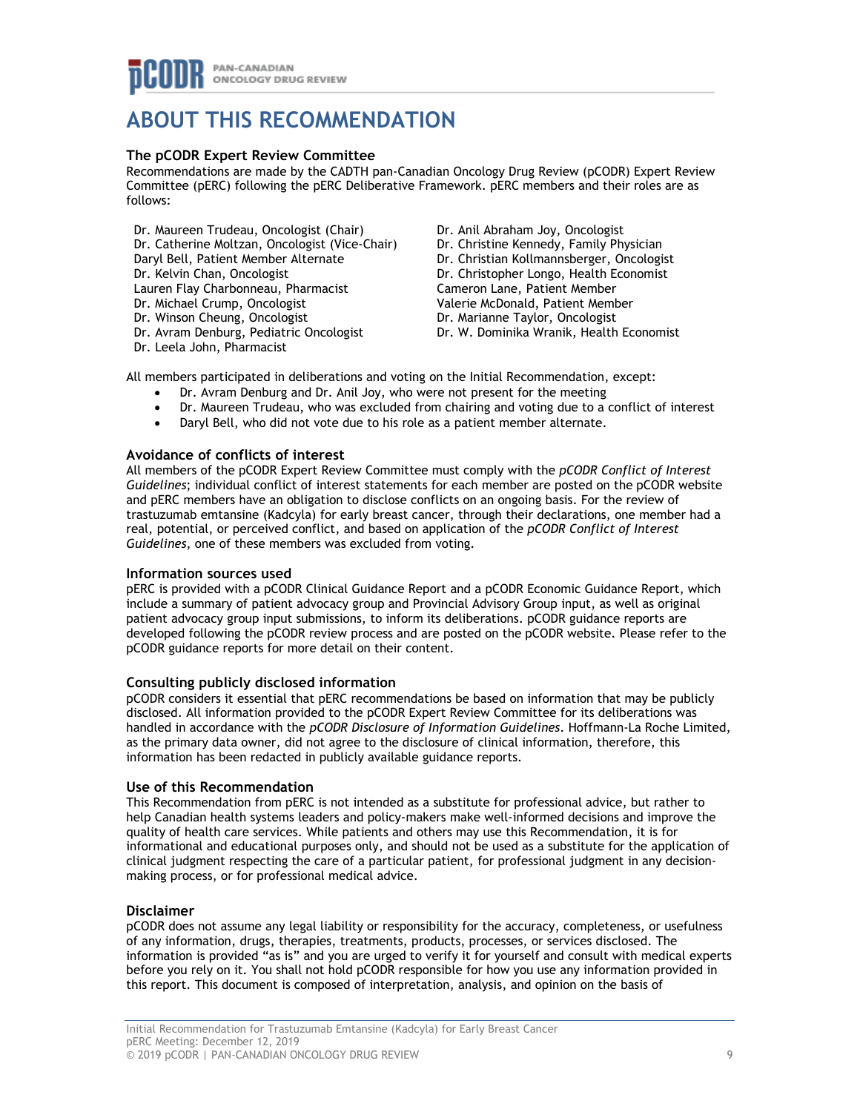# **ABOUT THIS RECOMMENDATION**

## **The pCODR Expert Review Committee**

Recommendations are made by the CADTH pan-Canadian Oncology Drug Review (pCODR) Expert Review Committee (pERC) following the pERC Deliberative Framework. pERC members and their roles are as follows:

Dr. Maureen Trudeau, Oncologist (Chair) Dr. Catherine Moltzan, Oncologist (Vice-Chair) Daryl Bell, Patient Member Alternate Dr. Kelvin Chan, Oncologist Lauren Flay Charbonneau, Pharmacist Dr. Michael Crump, Oncologist Dr. Winson Cheung, Oncologist Dr. Avram Denburg, Pediatric Oncologist Dr. Leela John, Pharmacist

Dr. Anil Abraham Joy, Oncologist Dr. Christine Kennedy, Family Physician Dr. Christian Kollmannsberger, Oncologist Dr. Christopher Longo, Health Economist Cameron Lane, Patient Member Valerie McDonald, Patient Member Dr. Marianne Taylor, Oncologist Dr. W. Dominika Wranik, Health Economist

All members participated in deliberations and voting on the Initial Recommendation, except:

- Dr. Avram Denburg and Dr. Anil Joy, who were not present for the meeting
- Dr. Maureen Trudeau, who was excluded from chairing and voting due to a conflict of interest
- Daryl Bell, who did not vote due to his role as a patient member alternate.

## **Avoidance of conflicts of interest**

All members of the pCODR Expert Review Committee must comply with the *pCODR Conflict of Interest Guidelines*; individual conflict of interest statements for each member are posted on the pCODR website and pERC members have an obligation to disclose conflicts on an ongoing basis. For the review of trastuzumab emtansine (Kadcyla) for early breast cancer, through their declarations, one member had a real, potential, or perceived conflict, and based on application of the *pCODR Conflict of Interest Guidelines*, one of these members was excluded from voting.

### **Information sources used**

pERC is provided with a pCODR Clinical Guidance Report and a pCODR Economic Guidance Report, which include a summary of patient advocacy group and Provincial Advisory Group input, as well as original patient advocacy group input submissions, to inform its deliberations. pCODR guidance reports are developed following the pCODR review process and are posted on the pCODR website. Please refer to the pCODR guidance reports for more detail on their content.

### **Consulting publicly disclosed information**

pCODR considers it essential that pERC recommendations be based on information that may be publicly disclosed. All information provided to the pCODR Expert Review Committee for its deliberations was handled in accordance with the *pCODR Disclosure of Information Guidelines*. Hoffmann-La Roche Limited, as the primary data owner, did not agree to the disclosure of clinical information, therefore, this information has been redacted in publicly available guidance reports.

### **Use of this Recommendation**

This Recommendation from pERC is not intended as a substitute for professional advice, but rather to help Canadian health systems leaders and policy-makers make well-informed decisions and improve the quality of health care services. While patients and others may use this Recommendation, it is for informational and educational purposes only, and should not be used as a substitute for the application of clinical judgment respecting the care of a particular patient, for professional judgment in any decisionmaking process, or for professional medical advice.

## **Disclaimer**

pCODR does not assume any legal liability or responsibility for the accuracy, completeness, or usefulness of any information, drugs, therapies, treatments, products, processes, or services disclosed. The information is provided "as is" and you are urged to verify it for yourself and consult with medical experts before you rely on it. You shall not hold pCODR responsible for how you use any information provided in this report. This document is composed of interpretation, analysis, and opinion on the basis of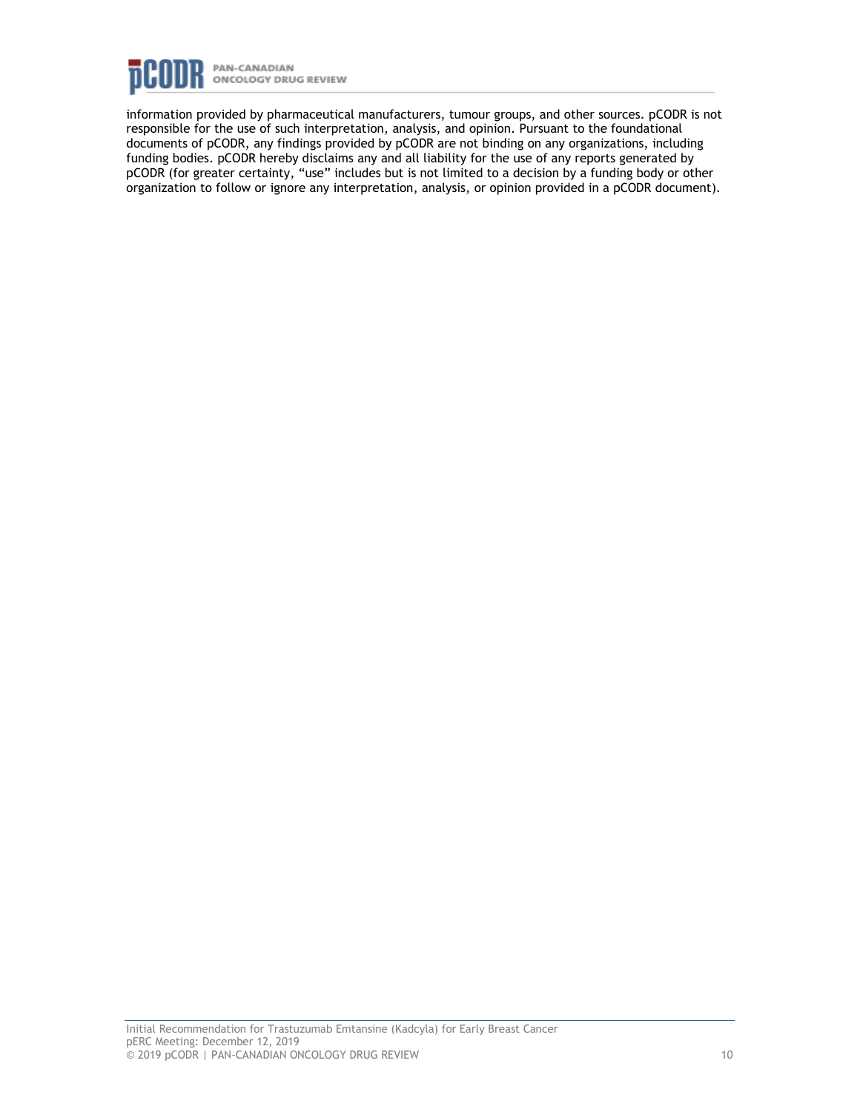

information provided by pharmaceutical manufacturers, tumour groups, and other sources. pCODR is not responsible for the use of such interpretation, analysis, and opinion. Pursuant to the foundational documents of pCODR, any findings provided by pCODR are not binding on any organizations, including funding bodies. pCODR hereby disclaims any and all liability for the use of any reports generated by pCODR (for greater certainty, "use" includes but is not limited to a decision by a funding body or other organization to follow or ignore any interpretation, analysis, or opinion provided in a pCODR document).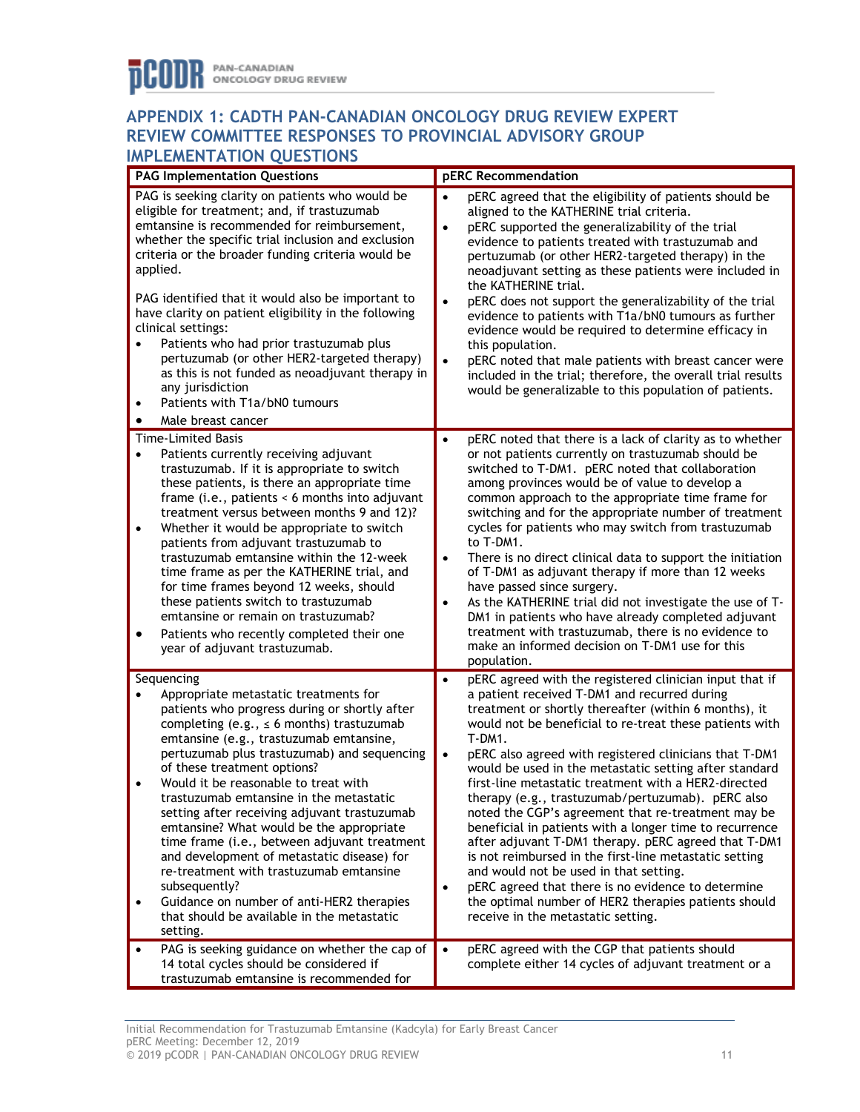# **APPENDIX 1: CADTH PAN-CANADIAN ONCOLOGY DRUG REVIEW EXPERT REVIEW COMMITTEE RESPONSES TO PROVINCIAL ADVISORY GROUP IMPLEMENTATION QUESTIONS**

| <b>PAG Implementation Questions</b> |                                                                                                                                                                                                                                                                                                                                                                                                                                                                                                                                                                                                                                                                                                                   |                                                  | pERC Recommendation                                                                                                                                                                                                                                                                                                                                                                                                                                                                                                                                                                                                                                                                                                                                                                                                                          |  |  |
|-------------------------------------|-------------------------------------------------------------------------------------------------------------------------------------------------------------------------------------------------------------------------------------------------------------------------------------------------------------------------------------------------------------------------------------------------------------------------------------------------------------------------------------------------------------------------------------------------------------------------------------------------------------------------------------------------------------------------------------------------------------------|--------------------------------------------------|----------------------------------------------------------------------------------------------------------------------------------------------------------------------------------------------------------------------------------------------------------------------------------------------------------------------------------------------------------------------------------------------------------------------------------------------------------------------------------------------------------------------------------------------------------------------------------------------------------------------------------------------------------------------------------------------------------------------------------------------------------------------------------------------------------------------------------------------|--|--|
| $\bullet$<br>$\bullet$<br>$\bullet$ | PAG is seeking clarity on patients who would be<br>eligible for treatment; and, if trastuzumab<br>emtansine is recommended for reimbursement,<br>whether the specific trial inclusion and exclusion<br>criteria or the broader funding criteria would be<br>applied.<br>PAG identified that it would also be important to<br>have clarity on patient eligibility in the following<br>clinical settings:<br>Patients who had prior trastuzumab plus<br>pertuzumab (or other HER2-targeted therapy)<br>as this is not funded as neoadjuvant therapy in<br>any jurisdiction<br>Patients with T1a/bN0 tumours<br>Male breast cancer                                                                                   | $\bullet$<br>$\bullet$<br>$\bullet$<br>$\bullet$ | pERC agreed that the eligibility of patients should be<br>aligned to the KATHERINE trial criteria.<br>pERC supported the generalizability of the trial<br>evidence to patients treated with trastuzumab and<br>pertuzumab (or other HER2-targeted therapy) in the<br>neoadjuvant setting as these patients were included in<br>the KATHERINE trial.<br>pERC does not support the generalizability of the trial<br>evidence to patients with T1a/bN0 tumours as further<br>evidence would be required to determine efficacy in<br>this population.<br>pERC noted that male patients with breast cancer were<br>included in the trial; therefore, the overall trial results<br>would be generalizable to this population of patients.                                                                                                          |  |  |
|                                     | Time-Limited Basis                                                                                                                                                                                                                                                                                                                                                                                                                                                                                                                                                                                                                                                                                                | $\bullet$                                        | pERC noted that there is a lack of clarity as to whether                                                                                                                                                                                                                                                                                                                                                                                                                                                                                                                                                                                                                                                                                                                                                                                     |  |  |
| $\bullet$<br>$\bullet$<br>٠         | Patients currently receiving adjuvant<br>trastuzumab. If it is appropriate to switch<br>these patients, is there an appropriate time<br>frame (i.e., patients $\leq 6$ months into adjuvant<br>treatment versus between months 9 and 12)?<br>Whether it would be appropriate to switch<br>patients from adjuvant trastuzumab to<br>trastuzumab emtansine within the 12-week<br>time frame as per the KATHERINE trial, and<br>for time frames beyond 12 weeks, should<br>these patients switch to trastuzumab<br>emtansine or remain on trastuzumab?<br>Patients who recently completed their one<br>year of adjuvant trastuzumab.                                                                                 | $\bullet$<br>$\bullet$                           | or not patients currently on trastuzumab should be<br>switched to T-DM1. pERC noted that collaboration<br>among provinces would be of value to develop a<br>common approach to the appropriate time frame for<br>switching and for the appropriate number of treatment<br>cycles for patients who may switch from trastuzumab<br>to T-DM1.<br>There is no direct clinical data to support the initiation<br>of T-DM1 as adjuvant therapy if more than 12 weeks<br>have passed since surgery.<br>As the KATHERINE trial did not investigate the use of T-<br>DM1 in patients who have already completed adjuvant<br>treatment with trastuzumab, there is no evidence to<br>make an informed decision on T-DM1 use for this<br>population.                                                                                                     |  |  |
| Sequencing                          |                                                                                                                                                                                                                                                                                                                                                                                                                                                                                                                                                                                                                                                                                                                   | $\bullet$                                        | pERC agreed with the registered clinician input that if                                                                                                                                                                                                                                                                                                                                                                                                                                                                                                                                                                                                                                                                                                                                                                                      |  |  |
| $\bullet$<br>$\bullet$<br>$\bullet$ | Appropriate metastatic treatments for<br>patients who progress during or shortly after<br>completing (e.g., $\leq$ 6 months) trastuzumab<br>emtansine (e.g., trastuzumab emtansine,<br>pertuzumab plus trastuzumab) and sequencing<br>of these treatment options?<br>Would it be reasonable to treat with<br>trastuzumab emtansine in the metastatic<br>setting after receiving adjuvant trastuzumab<br>emtansine? What would be the appropriate<br>time frame (i.e., between adjuvant treatment<br>and development of metastatic disease) for<br>re-treatment with trastuzumab emtansine<br>subsequently?<br>Guidance on number of anti-HER2 therapies<br>that should be available in the metastatic<br>setting. | $\bullet$<br>$\bullet$                           | a patient received T-DM1 and recurred during<br>treatment or shortly thereafter (within 6 months), it<br>would not be beneficial to re-treat these patients with<br>T-DM1.<br>pERC also agreed with registered clinicians that T-DM1<br>would be used in the metastatic setting after standard<br>first-line metastatic treatment with a HER2-directed<br>therapy (e.g., trastuzumab/pertuzumab). pERC also<br>noted the CGP's agreement that re-treatment may be<br>beneficial in patients with a longer time to recurrence<br>after adjuvant T-DM1 therapy. pERC agreed that T-DM1<br>is not reimbursed in the first-line metastatic setting<br>and would not be used in that setting.<br>pERC agreed that there is no evidence to determine<br>the optimal number of HER2 therapies patients should<br>receive in the metastatic setting. |  |  |
| $\bullet$                           | PAG is seeking guidance on whether the cap of<br>14 total cycles should be considered if                                                                                                                                                                                                                                                                                                                                                                                                                                                                                                                                                                                                                          | $\bullet$                                        | pERC agreed with the CGP that patients should<br>complete either 14 cycles of adjuvant treatment or a                                                                                                                                                                                                                                                                                                                                                                                                                                                                                                                                                                                                                                                                                                                                        |  |  |
|                                     | trastuzumab emtansine is recommended for                                                                                                                                                                                                                                                                                                                                                                                                                                                                                                                                                                                                                                                                          |                                                  |                                                                                                                                                                                                                                                                                                                                                                                                                                                                                                                                                                                                                                                                                                                                                                                                                                              |  |  |